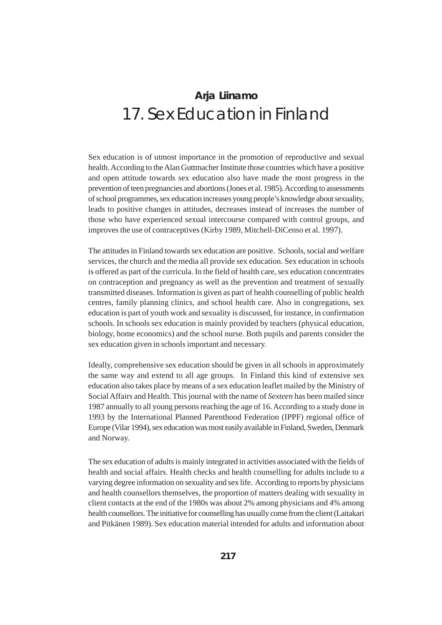# **Arja Liinamo** 17. Sex Education in Finland

Sex education is of utmost importance in the promotion of reproductive and sexual health. According to the Alan Guttmacher Institute those countries which have a positive and open attitude towards sex education also have made the most progress in the prevention of teen pregnancies and abortions (Jones et al. 1985). According to assessments of school programmes, sex education increases young people's knowledge about sexuality, leads to positive changes in attitudes, decreases instead of increases the number of those who have experienced sexual intercourse compared with control groups, and improves the use of contraceptives (Kirby 1989, Mitchell-DiCenso et al. 1997).

The attitudes in Finland towards sex education are positive. Schools, social and welfare services, the church and the media all provide sex education. Sex education in schools is offered as part of the curricula. In the field of health care, sex education concentrates on contraception and pregnancy as well as the prevention and treatment of sexually transmitted diseases. Information is given as part of health counselling of public health centres, family planning clinics, and school health care. Also in congregations, sex education is part of youth work and sexuality is discussed, for instance, in confirmation schools. In schools sex education is mainly provided by teachers (physical education, biology, home economics) and the school nurse. Both pupils and parents consider the sex education given in schools important and necessary.

Ideally, comprehensive sex education should be given in all schools in approximately the same way and extend to all age groups. In Finland this kind of extensive sex education also takes place by means of a sex education leaflet mailed by the Ministry of Social Affairs and Health. This journal with the name of *Sexteen* has been mailed since 1987 annually to all young persons reaching the age of 16. According to a study done in 1993 by the International Planned Parenthood Federation (IPPF) regional office of Europe (Vilar 1994), sex education was most easily available in Finland, Sweden, Denmark and Norway.

The sex education of adults is mainly integrated in activities associated with the fields of health and social affairs. Health checks and health counselling for adults include to a varying degree information on sexuality and sex life. According to reports by physicians and health counsellors themselves, the proportion of matters dealing with sexuality in client contacts at the end of the 1980s was about 2% among physicians and 4% among health counsellors. The initiative for counselling has usually come from the client (Laitakari and Pitkänen 1989). Sex education material intended for adults and information about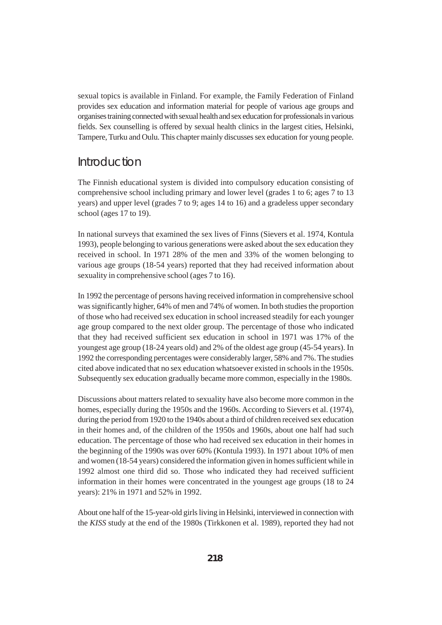sexual topics is available in Finland. For example, the Family Federation of Finland provides sex education and information material for people of various age groups and organises training connected with sexual health and sex education for professionals in various fields. Sex counselling is offered by sexual health clinics in the largest cities, Helsinki, Tampere, Turku and Oulu. This chapter mainly discusses sex education for young people.

#### Introduction

The Finnish educational system is divided into compulsory education consisting of comprehensive school including primary and lower level (grades 1 to 6; ages 7 to 13 years) and upper level (grades 7 to 9; ages 14 to 16) and a gradeless upper secondary school (ages 17 to 19).

In national surveys that examined the sex lives of Finns (Sievers et al. 1974, Kontula 1993), people belonging to various generations were asked about the sex education they received in school. In 1971 28% of the men and 33% of the women belonging to various age groups (18-54 years) reported that they had received information about sexuality in comprehensive school (ages 7 to 16).

In 1992 the percentage of persons having received information in comprehensive school was significantly higher, 64% of men and 74% of women. In both studies the proportion of those who had received sex education in school increased steadily for each younger age group compared to the next older group. The percentage of those who indicated that they had received sufficient sex education in school in 1971 was 17% of the youngest age group (18-24 years old) and 2% of the oldest age group (45-54 years). In 1992 the corresponding percentages were considerably larger, 58% and 7%. The studies cited above indicated that no sex education whatsoever existed in schools in the 1950s. Subsequently sex education gradually became more common, especially in the 1980s.

Discussions about matters related to sexuality have also become more common in the homes, especially during the 1950s and the 1960s. According to Sievers et al. (1974), during the period from 1920 to the 1940s about a third of children received sex education in their homes and, of the children of the 1950s and 1960s, about one half had such education. The percentage of those who had received sex education in their homes in the beginning of the 1990s was over 60% (Kontula 1993). In 1971 about 10% of men and women (18-54 years) considered the information given in homes sufficient while in 1992 almost one third did so. Those who indicated they had received sufficient information in their homes were concentrated in the youngest age groups (18 to 24 years): 21% in 1971 and 52% in 1992.

About one half of the 15-year-old girls living in Helsinki, interviewed in connection with the *KISS* study at the end of the 1980s (Tirkkonen et al. 1989), reported they had not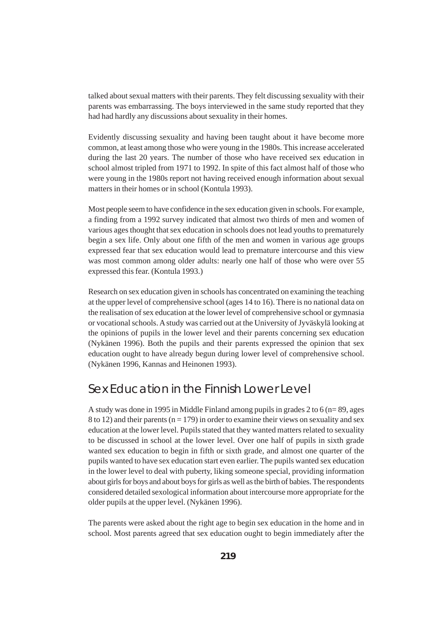talked about sexual matters with their parents. They felt discussing sexuality with their parents was embarrassing. The boys interviewed in the same study reported that they had had hardly any discussions about sexuality in their homes.

Evidently discussing sexuality and having been taught about it have become more common, at least among those who were young in the 1980s. This increase accelerated during the last 20 years. The number of those who have received sex education in school almost tripled from 1971 to 1992. In spite of this fact almost half of those who were young in the 1980s report not having received enough information about sexual matters in their homes or in school (Kontula 1993).

Most people seem to have confidence in the sex education given in schools. For example, a finding from a 1992 survey indicated that almost two thirds of men and women of various ages thought that sex education in schools does not lead youths to prematurely begin a sex life. Only about one fifth of the men and women in various age groups expressed fear that sex education would lead to premature intercourse and this view was most common among older adults: nearly one half of those who were over 55 expressed this fear. (Kontula 1993.)

Research on sex education given in schools has concentrated on examining the teaching at the upper level of comprehensive school (ages 14 to 16). There is no national data on the realisation of sex education at the lower level of comprehensive school or gymnasia or vocational schools. A study was carried out at the University of Jyväskylä looking at the opinions of pupils in the lower level and their parents concerning sex education (Nykänen 1996). Both the pupils and their parents expressed the opinion that sex education ought to have already begun during lower level of comprehensive school. (Nykänen 1996, Kannas and Heinonen 1993).

# Sex Education in the Finnish Lower Level

A study was done in 1995 in Middle Finland among pupils in grades 2 to 6 (n= 89, ages 8 to 12) and their parents ( $n = 179$ ) in order to examine their views on sexuality and sex education at the lower level. Pupils stated that they wanted matters related to sexuality to be discussed in school at the lower level. Over one half of pupils in sixth grade wanted sex education to begin in fifth or sixth grade, and almost one quarter of the pupils wanted to have sex education start even earlier. The pupils wanted sex education in the lower level to deal with puberty, liking someone special, providing information about girls for boys and about boys for girls as well as the birth of babies. The respondents considered detailed sexological information about intercourse more appropriate for the older pupils at the upper level. (Nykänen 1996).

The parents were asked about the right age to begin sex education in the home and in school. Most parents agreed that sex education ought to begin immediately after the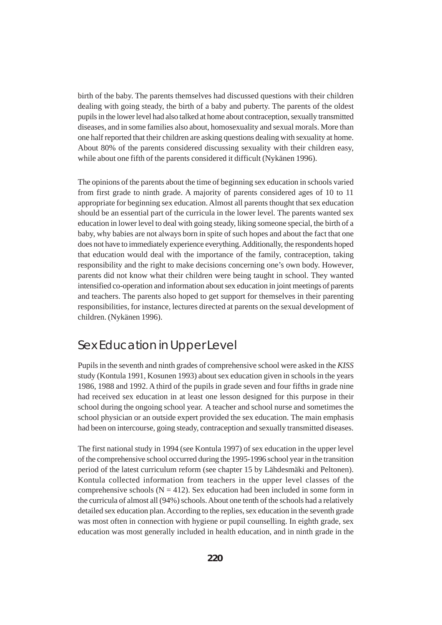birth of the baby. The parents themselves had discussed questions with their children dealing with going steady, the birth of a baby and puberty. The parents of the oldest pupils in the lower level had also talked at home about contraception, sexually transmitted diseases, and in some families also about, homosexuality and sexual morals. More than one half reported that their children are asking questions dealing with sexuality at home. About 80% of the parents considered discussing sexuality with their children easy, while about one fifth of the parents considered it difficult (Nykänen 1996).

The opinions of the parents about the time of beginning sex education in schools varied from first grade to ninth grade. A majority of parents considered ages of 10 to 11 appropriate for beginning sex education. Almost all parents thought that sex education should be an essential part of the curricula in the lower level. The parents wanted sex education in lower level to deal with going steady, liking someone special, the birth of a baby, why babies are not always born in spite of such hopes and about the fact that one does not have to immediately experience everything. Additionally, the respondents hoped that education would deal with the importance of the family, contraception, taking responsibility and the right to make decisions concerning one's own body. However, parents did not know what their children were being taught in school. They wanted intensified co-operation and information about sex education in joint meetings of parents and teachers. The parents also hoped to get support for themselves in their parenting responsibilities, for instance, lectures directed at parents on the sexual development of children. (Nykänen 1996).

# Sex Education in Upper Level

Pupils in the seventh and ninth grades of comprehensive school were asked in the *KISS* study (Kontula 1991, Kosunen 1993) about sex education given in schools in the years 1986, 1988 and 1992. A third of the pupils in grade seven and four fifths in grade nine had received sex education in at least one lesson designed for this purpose in their school during the ongoing school year. A teacher and school nurse and sometimes the school physician or an outside expert provided the sex education. The main emphasis had been on intercourse, going steady, contraception and sexually transmitted diseases.

The first national study in 1994 (see Kontula 1997) of sex education in the upper level of the comprehensive school occurred during the 1995-1996 school year in the transition period of the latest curriculum reform (see chapter 15 by Lähdesmäki and Peltonen). Kontula collected information from teachers in the upper level classes of the comprehensive schools ( $N = 412$ ). Sex education had been included in some form in the curricula of almost all (94%) schools. About one tenth of the schools had a relatively detailed sex education plan. According to the replies, sex education in the seventh grade was most often in connection with hygiene or pupil counselling. In eighth grade, sex education was most generally included in health education, and in ninth grade in the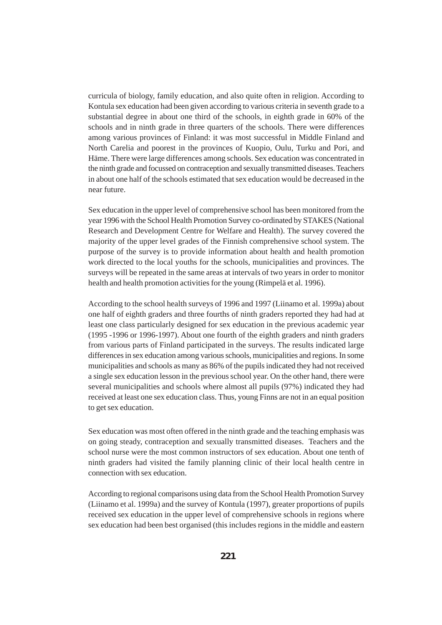curricula of biology, family education, and also quite often in religion. According to Kontula sex education had been given according to various criteria in seventh grade to a substantial degree in about one third of the schools, in eighth grade in 60% of the schools and in ninth grade in three quarters of the schools. There were differences among various provinces of Finland: it was most successful in Middle Finland and North Carelia and poorest in the provinces of Kuopio, Oulu, Turku and Pori, and Häme. There were large differences among schools. Sex education was concentrated in the ninth grade and focussed on contraception and sexually transmitted diseases. Teachers in about one half of the schools estimated that sex education would be decreased in the near future.

Sex education in the upper level of comprehensive school has been monitored from the year 1996 with the School Health Promotion Survey co-ordinated by STAKES (National Research and Development Centre for Welfare and Health). The survey covered the majority of the upper level grades of the Finnish comprehensive school system. The purpose of the survey is to provide information about health and health promotion work directed to the local youths for the schools, municipalities and provinces. The surveys will be repeated in the same areas at intervals of two years in order to monitor health and health promotion activities for the young (Rimpelä et al. 1996).

According to the school health surveys of 1996 and 1997 (Liinamo et al. 1999a) about one half of eighth graders and three fourths of ninth graders reported they had had at least one class particularly designed for sex education in the previous academic year (1995 -1996 or 1996-1997). About one fourth of the eighth graders and ninth graders from various parts of Finland participated in the surveys. The results indicated large differences in sex education among various schools, municipalities and regions. In some municipalities and schools as many as 86% of the pupils indicated they had not received a single sex education lesson in the previous school year. On the other hand, there were several municipalities and schools where almost all pupils (97%) indicated they had received at least one sex education class. Thus, young Finns are not in an equal position to get sex education.

Sex education was most often offered in the ninth grade and the teaching emphasis was on going steady, contraception and sexually transmitted diseases. Teachers and the school nurse were the most common instructors of sex education. About one tenth of ninth graders had visited the family planning clinic of their local health centre in connection with sex education.

According to regional comparisons using data from the School Health Promotion Survey (Liinamo et al. 1999a) and the survey of Kontula (1997), greater proportions of pupils received sex education in the upper level of comprehensive schools in regions where sex education had been best organised (this includes regions in the middle and eastern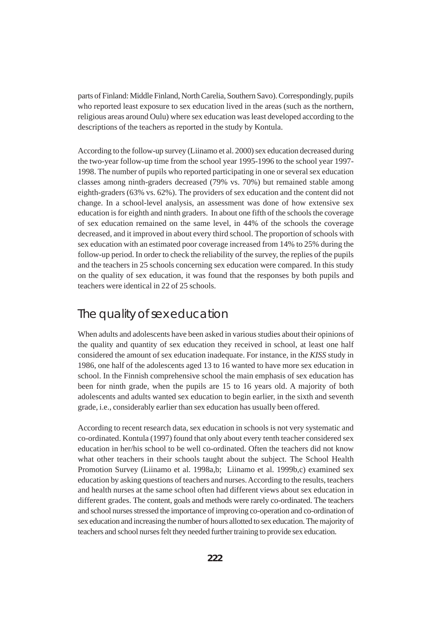parts of Finland: Middle Finland, North Carelia, Southern Savo). Correspondingly, pupils who reported least exposure to sex education lived in the areas (such as the northern, religious areas around Oulu) where sex education was least developed according to the descriptions of the teachers as reported in the study by Kontula.

According to the follow-up survey (Liinamo et al. 2000) sex education decreased during the two-year follow-up time from the school year 1995-1996 to the school year 1997- 1998. The number of pupils who reported participating in one or several sex education classes among ninth-graders decreased (79% vs. 70%) but remained stable among eighth-graders (63% vs. 62%). The providers of sex education and the content did not change. In a school-level analysis, an assessment was done of how extensive sex education is for eighth and ninth graders. In about one fifth of the schools the coverage of sex education remained on the same level, in 44% of the schools the coverage decreased, and it improved in about every third school. The proportion of schools with sex education with an estimated poor coverage increased from 14% to 25% during the follow-up period. In order to check the reliability of the survey, the replies of the pupils and the teachers in 25 schools concerning sex education were compared. In this study on the quality of sex education, it was found that the responses by both pupils and teachers were identical in 22 of 25 schools.

# The quality of sex education

When adults and adolescents have been asked in various studies about their opinions of the quality and quantity of sex education they received in school, at least one half considered the amount of sex education inadequate. For instance, in the *KISS* study in 1986, one half of the adolescents aged 13 to 16 wanted to have more sex education in school. In the Finnish comprehensive school the main emphasis of sex education has been for ninth grade, when the pupils are 15 to 16 years old. A majority of both adolescents and adults wanted sex education to begin earlier, in the sixth and seventh grade, i.e., considerably earlier than sex education has usually been offered.

According to recent research data, sex education in schools is not very systematic and co-ordinated. Kontula (1997) found that only about every tenth teacher considered sex education in her/his school to be well co-ordinated. Often the teachers did not know what other teachers in their schools taught about the subject. The School Health Promotion Survey (Liinamo et al. 1998a,b; Liinamo et al. 1999b,c) examined sex education by asking questions of teachers and nurses. According to the results, teachers and health nurses at the same school often had different views about sex education in different grades. The content, goals and methods were rarely co-ordinated. The teachers and school nurses stressed the importance of improving co-operation and co-ordination of sex education and increasing the number of hours allotted to sex education. The majority of teachers and school nurses felt they needed further training to provide sex education.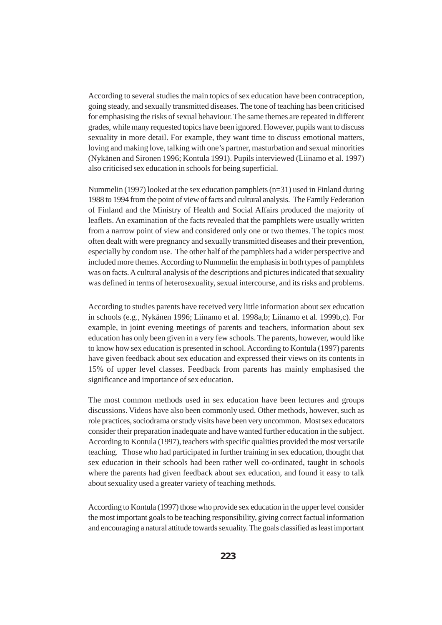According to several studies the main topics of sex education have been contraception, going steady, and sexually transmitted diseases. The tone of teaching has been criticised for emphasising the risks of sexual behaviour. The same themes are repeated in different grades, while many requested topics have been ignored. However, pupils want to discuss sexuality in more detail. For example, they want time to discuss emotional matters, loving and making love, talking with one's partner, masturbation and sexual minorities (Nykänen and Sironen 1996; Kontula 1991). Pupils interviewed (Liinamo et al. 1997) also criticised sex education in schools for being superficial.

Nummelin (1997) looked at the sex education pamphlets  $(n=31)$  used in Finland during 1988 to 1994 from the point of view of facts and cultural analysis. The Family Federation of Finland and the Ministry of Health and Social Affairs produced the majority of leaflets. An examination of the facts revealed that the pamphlets were usually written from a narrow point of view and considered only one or two themes. The topics most often dealt with were pregnancy and sexually transmitted diseases and their prevention, especially by condom use. The other half of the pamphlets had a wider perspective and included more themes. According to Nummelin the emphasis in both types of pamphlets was on facts. A cultural analysis of the descriptions and pictures indicated that sexuality was defined in terms of heterosexuality, sexual intercourse, and its risks and problems.

According to studies parents have received very little information about sex education in schools (e.g., Nykänen 1996; Liinamo et al. 1998a,b; Liinamo et al. 1999b,c). For example, in joint evening meetings of parents and teachers, information about sex education has only been given in a very few schools. The parents, however, would like to know how sex education is presented in school. According to Kontula (1997) parents have given feedback about sex education and expressed their views on its contents in 15% of upper level classes. Feedback from parents has mainly emphasised the significance and importance of sex education.

The most common methods used in sex education have been lectures and groups discussions. Videos have also been commonly used. Other methods, however, such as role practices, sociodrama or study visits have been very uncommon. Most sex educators consider their preparation inadequate and have wanted further education in the subject. According to Kontula (1997), teachers with specific qualities provided the most versatile teaching. Those who had participated in further training in sex education, thought that sex education in their schools had been rather well co-ordinated, taught in schools where the parents had given feedback about sex education, and found it easy to talk about sexuality used a greater variety of teaching methods.

According to Kontula (1997) those who provide sex education in the upper level consider the most important goals to be teaching responsibility, giving correct factual information and encouraging a natural attitude towards sexuality. The goals classified as least important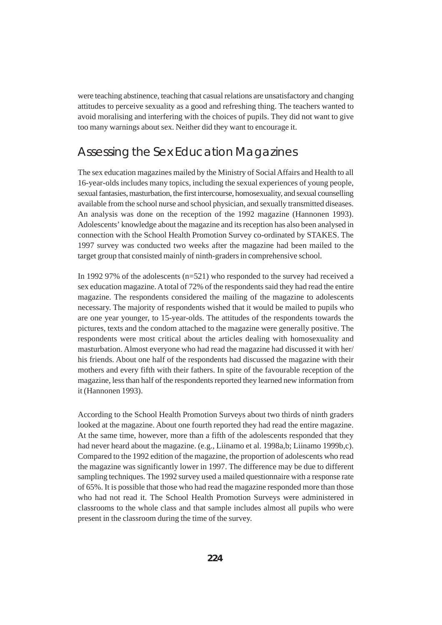were teaching abstinence, teaching that casual relations are unsatisfactory and changing attitudes to perceive sexuality as a good and refreshing thing. The teachers wanted to avoid moralising and interfering with the choices of pupils. They did not want to give too many warnings about sex. Neither did they want to encourage it.

## Assessing the Sex Education Magazines

The sex education magazines mailed by the Ministry of Social Affairs and Health to all 16-year-olds includes many topics, including the sexual experiences of young people, sexual fantasies, masturbation, the first intercourse, homosexuality, and sexual counselling available from the school nurse and school physician, and sexually transmitted diseases. An analysis was done on the reception of the 1992 magazine (Hannonen 1993). Adolescents' knowledge about the magazine and its reception has also been analysed in connection with the School Health Promotion Survey co-ordinated by STAKES. The 1997 survey was conducted two weeks after the magazine had been mailed to the target group that consisted mainly of ninth-graders in comprehensive school.

In 1992 97% of the adolescents (n=521) who responded to the survey had received a sex education magazine. A total of 72% of the respondents said they had read the entire magazine. The respondents considered the mailing of the magazine to adolescents necessary. The majority of respondents wished that it would be mailed to pupils who are one year younger, to 15-year-olds. The attitudes of the respondents towards the pictures, texts and the condom attached to the magazine were generally positive. The respondents were most critical about the articles dealing with homosexuality and masturbation. Almost everyone who had read the magazine had discussed it with her/ his friends. About one half of the respondents had discussed the magazine with their mothers and every fifth with their fathers. In spite of the favourable reception of the magazine, less than half of the respondents reported they learned new information from it (Hannonen 1993).

According to the School Health Promotion Surveys about two thirds of ninth graders looked at the magazine. About one fourth reported they had read the entire magazine. At the same time, however, more than a fifth of the adolescents responded that they had never heard about the magazine. (e.g., Liinamo et al. 1998a,b; Liinamo 1999b,c). Compared to the 1992 edition of the magazine, the proportion of adolescents who read the magazine was significantly lower in 1997. The difference may be due to different sampling techniques. The 1992 survey used a mailed questionnaire with a response rate of 65%. It is possible that those who had read the magazine responded more than those who had not read it. The School Health Promotion Surveys were administered in classrooms to the whole class and that sample includes almost all pupils who were present in the classroom during the time of the survey.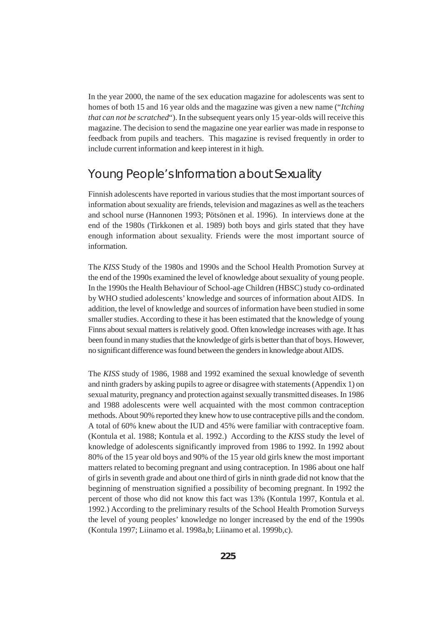In the year 2000, the name of the sex education magazine for adolescents was sent to homes of both 15 and 16 year olds and the magazine was given a new name ("*Itching that can not be scratched*"). In the subsequent years only 15 year-olds will receive this magazine. The decision to send the magazine one year earlier was made in response to feedback from pupils and teachers. This magazine is revised frequently in order to include current information and keep interest in it high.

## Young People's Information about Sexuality

Finnish adolescents have reported in various studies that the most important sources of information about sexuality are friends, television and magazines as well as the teachers and school nurse (Hannonen 1993; Pötsönen et al. 1996). In interviews done at the end of the 1980s (Tirkkonen et al. 1989) both boys and girls stated that they have enough information about sexuality. Friends were the most important source of information.

The *KISS* Study of the 1980s and 1990s and the School Health Promotion Survey at the end of the 1990s examined the level of knowledge about sexuality of young people. In the 1990s the Health Behaviour of School-age Children (HBSC) study co-ordinated by WHO studied adolescents' knowledge and sources of information about AIDS. In addition, the level of knowledge and sources of information have been studied in some smaller studies. According to these it has been estimated that the knowledge of young Finns about sexual matters is relatively good. Often knowledge increases with age. It has been found in many studies that the knowledge of girls is better than that of boys. However, no significant difference was found between the genders in knowledge about AIDS.

The *KISS* study of 1986, 1988 and 1992 examined the sexual knowledge of seventh and ninth graders by asking pupils to agree or disagree with statements (Appendix 1) on sexual maturity, pregnancy and protection against sexually transmitted diseases. In 1986 and 1988 adolescents were well acquainted with the most common contraception methods. About 90% reported they knew how to use contraceptive pills and the condom. A total of 60% knew about the IUD and 45% were familiar with contraceptive foam. (Kontula et al. 1988; Kontula et al. 1992.) According to the *KISS* study the level of knowledge of adolescents significantly improved from 1986 to 1992. In 1992 about 80% of the 15 year old boys and 90% of the 15 year old girls knew the most important matters related to becoming pregnant and using contraception. In 1986 about one half of girls in seventh grade and about one third of girls in ninth grade did not know that the beginning of menstruation signified a possibility of becoming pregnant. In 1992 the percent of those who did not know this fact was 13% (Kontula 1997, Kontula et al. 1992.) According to the preliminary results of the School Health Promotion Surveys the level of young peoples' knowledge no longer increased by the end of the 1990s (Kontula 1997; Liinamo et al. 1998a,b; Liinamo et al. 1999b,c).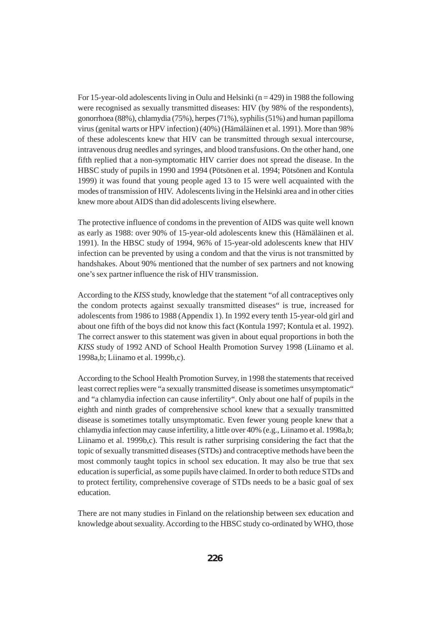For 15-year-old adolescents living in Oulu and Helsinki  $(n = 429)$  in 1988 the following were recognised as sexually transmitted diseases: HIV (by 98% of the respondents), gonorrhoea (88%), chlamydia (75%), herpes (71%), syphilis (51%) and human papilloma virus (genital warts or HPV infection) (40%) (Hämäläinen et al. 1991). More than 98% of these adolescents knew that HIV can be transmitted through sexual intercourse, intravenous drug needles and syringes, and blood transfusions. On the other hand, one fifth replied that a non-symptomatic HIV carrier does not spread the disease. In the HBSC study of pupils in 1990 and 1994 (Pötsönen et al. 1994; Pötsönen and Kontula 1999) it was found that young people aged 13 to 15 were well acquainted with the modes of transmission of HIV. Adolescents living in the Helsinki area and in other cities knew more about AIDS than did adolescents living elsewhere.

The protective influence of condoms in the prevention of AIDS was quite well known as early as 1988: over 90% of 15-year-old adolescents knew this (Hämäläinen et al. 1991). In the HBSC study of 1994, 96% of 15-year-old adolescents knew that HIV infection can be prevented by using a condom and that the virus is not transmitted by handshakes. About 90% mentioned that the number of sex partners and not knowing one's sex partner influence the risk of HIV transmission.

According to the *KISS* study, knowledge that the statement "of all contraceptives only the condom protects against sexually transmitted diseases" is true, increased for adolescents from 1986 to 1988 (Appendix 1). In 1992 every tenth 15-year-old girl and about one fifth of the boys did not know this fact (Kontula 1997; Kontula et al. 1992). The correct answer to this statement was given in about equal proportions in both the *KISS* study of 1992 AND of School Health Promotion Survey 1998 (Liinamo et al. 1998a,b; Liinamo et al. 1999b,c).

According to the School Health Promotion Survey, in 1998 the statements that received least correct replies were "a sexually transmitted disease is sometimes unsymptomatic" and "a chlamydia infection can cause infertility". Only about one half of pupils in the eighth and ninth grades of comprehensive school knew that a sexually transmitted disease is sometimes totally unsymptomatic. Even fewer young people knew that a chlamydia infection may cause infertility, a little over 40% (e.g., Liinamo et al. 1998a,b; Liinamo et al. 1999b,c). This result is rather surprising considering the fact that the topic of sexually transmitted diseases (STDs) and contraceptive methods have been the most commonly taught topics in school sex education. It may also be true that sex education is superficial, as some pupils have claimed. In order to both reduce STDs and to protect fertility, comprehensive coverage of STDs needs to be a basic goal of sex education.

There are not many studies in Finland on the relationship between sex education and knowledge about sexuality. According to the HBSC study co-ordinated by WHO, those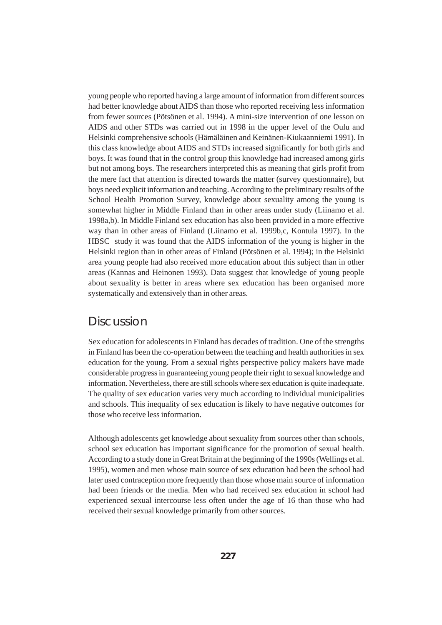young people who reported having a large amount of information from different sources had better knowledge about AIDS than those who reported receiving less information from fewer sources (Pötsönen et al. 1994). A mini-size intervention of one lesson on AIDS and other STDs was carried out in 1998 in the upper level of the Oulu and Helsinki comprehensive schools (Hämäläinen and Keinänen-Kiukaanniemi 1991). In this class knowledge about AIDS and STDs increased significantly for both girls and boys. It was found that in the control group this knowledge had increased among girls but not among boys. The researchers interpreted this as meaning that girls profit from the mere fact that attention is directed towards the matter (survey questionnaire), but boys need explicit information and teaching. According to the preliminary results of the School Health Promotion Survey, knowledge about sexuality among the young is somewhat higher in Middle Finland than in other areas under study (Liinamo et al. 1998a,b). In Middle Finland sex education has also been provided in a more effective way than in other areas of Finland (Liinamo et al. 1999b,c, Kontula 1997). In the HBSC study it was found that the AIDS information of the young is higher in the Helsinki region than in other areas of Finland (Pötsönen et al. 1994); in the Helsinki area young people had also received more education about this subject than in other areas (Kannas and Heinonen 1993). Data suggest that knowledge of young people about sexuality is better in areas where sex education has been organised more systematically and extensively than in other areas.

#### **Discussion**

Sex education for adolescents in Finland has decades of tradition. One of the strengths in Finland has been the co-operation between the teaching and health authorities in sex education for the young. From a sexual rights perspective policy makers have made considerable progress in guaranteeing young people their right to sexual knowledge and information. Nevertheless, there are still schools where sex education is quite inadequate. The quality of sex education varies very much according to individual municipalities and schools. This inequality of sex education is likely to have negative outcomes for those who receive less information.

Although adolescents get knowledge about sexuality from sources other than schools, school sex education has important significance for the promotion of sexual health. According to a study done in Great Britain at the beginning of the 1990s (Wellings et al. 1995), women and men whose main source of sex education had been the school had later used contraception more frequently than those whose main source of information had been friends or the media. Men who had received sex education in school had experienced sexual intercourse less often under the age of 16 than those who had received their sexual knowledge primarily from other sources.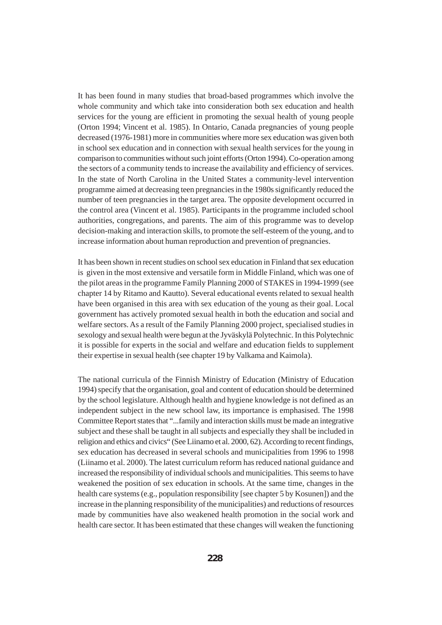It has been found in many studies that broad-based programmes which involve the whole community and which take into consideration both sex education and health services for the young are efficient in promoting the sexual health of young people (Orton 1994; Vincent et al. 1985). In Ontario, Canada pregnancies of young people decreased (1976-1981) more in communities where more sex education was given both in school sex education and in connection with sexual health services for the young in comparison to communities without such joint efforts (Orton 1994). Co-operation among the sectors of a community tends to increase the availability and efficiency of services. In the state of North Carolina in the United States a community-level intervention programme aimed at decreasing teen pregnancies in the 1980s significantly reduced the number of teen pregnancies in the target area. The opposite development occurred in the control area (Vincent et al. 1985). Participants in the programme included school authorities, congregations, and parents. The aim of this programme was to develop decision-making and interaction skills, to promote the self-esteem of the young, and to increase information about human reproduction and prevention of pregnancies.

It has been shown in recent studies on school sex education in Finland that sex education is given in the most extensive and versatile form in Middle Finland, which was one of the pilot areas in the programme Family Planning 2000 of STAKES in 1994-1999 (see chapter 14 by Ritamo and Kautto). Several educational events related to sexual health have been organised in this area with sex education of the young as their goal. Local government has actively promoted sexual health in both the education and social and welfare sectors. As a result of the Family Planning 2000 project, specialised studies in sexology and sexual health were begun at the Jyväskylä Polytechnic. In this Polytechnic it is possible for experts in the social and welfare and education fields to supplement their expertise in sexual health (see chapter 19 by Valkama and Kaimola).

The national curricula of the Finnish Ministry of Education (Ministry of Education 1994) specify that the organisation, goal and content of education should be determined by the school legislature. Although health and hygiene knowledge is not defined as an independent subject in the new school law, its importance is emphasised. The 1998 Committee Report states that "...family and interaction skills must be made an integrative subject and these shall be taught in all subjects and especially they shall be included in religion and ethics and civics" (See Liinamo et al. 2000, 62). According to recent findings, sex education has decreased in several schools and municipalities from 1996 to 1998 (Liinamo et al. 2000). The latest curriculum reform has reduced national guidance and increased the responsibility of individual schools and municipalities. This seems to have weakened the position of sex education in schools. At the same time, changes in the health care systems (e.g., population responsibility [see chapter 5 by Kosunen]) and the increase in the planning responsibility of the municipalities) and reductions of resources made by communities have also weakened health promotion in the social work and health care sector. It has been estimated that these changes will weaken the functioning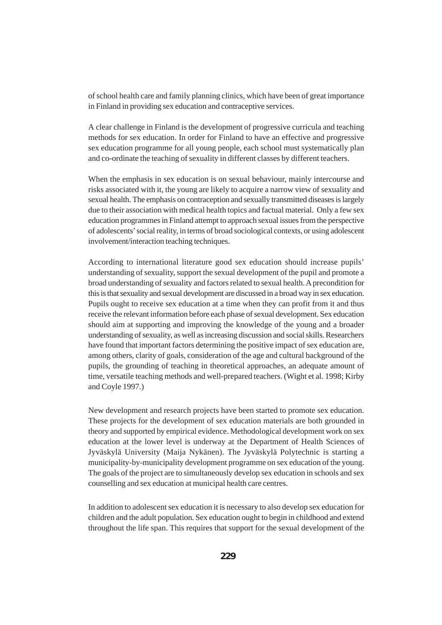of school health care and family planning clinics, which have been of great importance in Finland in providing sex education and contraceptive services.

A clear challenge in Finland is the development of progressive curricula and teaching methods for sex education. In order for Finland to have an effective and progressive sex education programme for all young people, each school must systematically plan and co-ordinate the teaching of sexuality in different classes by different teachers.

When the emphasis in sex education is on sexual behaviour, mainly intercourse and risks associated with it, the young are likely to acquire a narrow view of sexuality and sexual health. The emphasis on contraception and sexually transmitted diseases is largely due to their association with medical health topics and factual material. Only a few sex education programmes in Finland attempt to approach sexual issues from the perspective of adolescents' social reality, in terms of broad sociological contexts, or using adolescent involvement/interaction teaching techniques.

According to international literature good sex education should increase pupils' understanding of sexuality, support the sexual development of the pupil and promote a broad understanding of sexuality and factors related to sexual health. A precondition for this is that sexuality and sexual development are discussed in a broad way in sex education. Pupils ought to receive sex education at a time when they can profit from it and thus receive the relevant information before each phase of sexual development. Sex education should aim at supporting and improving the knowledge of the young and a broader understanding of sexuality, as well as increasing discussion and social skills. Researchers have found that important factors determining the positive impact of sex education are, among others, clarity of goals, consideration of the age and cultural background of the pupils, the grounding of teaching in theoretical approaches, an adequate amount of time, versatile teaching methods and well-prepared teachers. (Wight et al. 1998; Kirby and Coyle 1997.)

New development and research projects have been started to promote sex education. These projects for the development of sex education materials are both grounded in theory and supported by empirical evidence. Methodological development work on sex education at the lower level is underway at the Department of Health Sciences of Jyväskylä University (Maija Nykänen). The Jyväskylä Polytechnic is starting a municipality-by-municipality development programme on sex education of the young. The goals of the project are to simultaneously develop sex education in schools and sex counselling and sex education at municipal health care centres.

In addition to adolescent sex education it is necessary to also develop sex education for children and the adult population. Sex education ought to begin in childhood and extend throughout the life span. This requires that support for the sexual development of the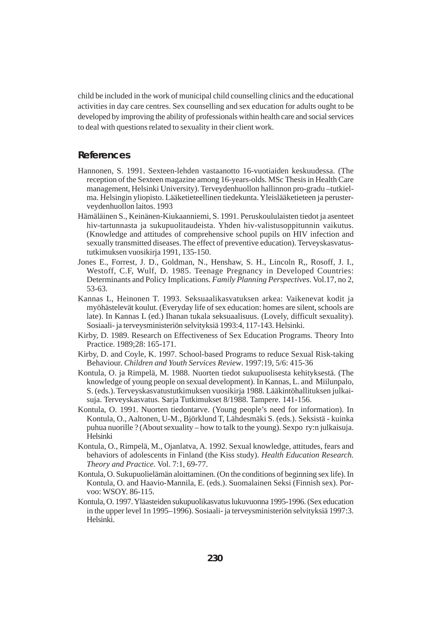child be included in the work of municipal child counselling clinics and the educational activities in day care centres. Sex counselling and sex education for adults ought to be developed by improving the ability of professionals within health care and social services to deal with questions related to sexuality in their client work.

#### **References**

- Hannonen, S. 1991. Sexteen-lehden vastaanotto 16-vuotiaiden keskuudessa. (The reception of the Sexteen magazine among 16-years-olds. MSc Thesis in Health Care management, Helsinki University). Terveydenhuollon hallinnon pro-gradu –tutkielma. Helsingin yliopisto. Lääketieteellinen tiedekunta. Yleislääketieteen ja perusterveydenhuollon laitos. 1993
- Hämäläinen S., Keinänen-Kiukaanniemi, S. 1991. Peruskoululaisten tiedot ja asenteet hiv-tartunnasta ja sukupuolitaudeista. Yhden hiv-valistusoppitunnin vaikutus. (Knowledge and attitudes of comprehensive school pupils on HIV infection and sexually transmitted diseases. The effect of preventive education). Terveyskasvatustutkimuksen vuosikirja 1991, 135-150.
- Jones E., Forrest, J. D., Goldman, N., Henshaw, S. H., Lincoln R,, Rosoff, J. I., Westoff, C.F, Wulf, D. 1985. Teenage Pregnancy in Developed Countries: Determinants and Policy Implications. *Family Planning Perspectives*. Vol.17, no 2, 53-63.
- Kannas L, Heinonen T. 1993. Seksuaalikasvatuksen arkea: Vaikenevat kodit ja myöhästelevät koulut. (Everyday life of sex education: homes are silent, schools are late). In Kannas L (ed.) Ihanan tukala seksuaalisuus. (Lovely, difficult sexuality). Sosiaali- ja terveysministeriön selvityksiä 1993:4, 117-143. Helsinki.
- Kirby, D. 1989. Research on Effectiveness of Sex Education Programs. Theory Into Practice. 1989;28: 165-171.
- Kirby, D. and Coyle, K. 1997. School-based Programs to reduce Sexual Risk-taking Behaviour. *Children and Youth Services Review*. 1997:19, 5/6: 415-36
- Kontula, O. ja Rimpelä, M. 1988. Nuorten tiedot sukupuolisesta kehityksestä. (The knowledge of young people on sexual development). In Kannas, L. and Miilunpalo, S. (eds.). Terveyskasvatustutkimuksen vuosikirja 1988. Lääkintöhallituksen julkaisuja. Terveyskasvatus. Sarja Tutkimukset 8/1988. Tampere. 141-156.
- Kontula, O. 1991. Nuorten tiedontarve. (Young people's need for information). In Kontula, O., Aaltonen, U-M., Björklund T, Lähdesmäki S. (eds.). Seksistä - kuinka puhua nuorille ? (About sexuality – how to talk to the young). Sexpo ry:n julkaisuja. Helsinki
- Kontula, O., Rimpelä, M., Ojanlatva, A. 1992. Sexual knowledge, attitudes, fears and behaviors of adolescents in Finland (the Kiss study). *Health Education Research. Theory and Practice.* Vol. 7:1, 69-77.
- Kontula, O. Sukupuolielämän aloittaminen. (On the conditions of beginning sex life). In Kontula, O. and Haavio-Mannila, E. (eds.). Suomalainen Seksi (Finnish sex). Porvoo: WSOY. 86-115.
- Kontula, O. 1997. Yläasteiden sukupuolikasvatus lukuvuonna 1995-1996. (Sex education in the upper level 1n 1995–1996). Sosiaali- ja terveysministeriön selvityksiä 1997:3. Helsinki.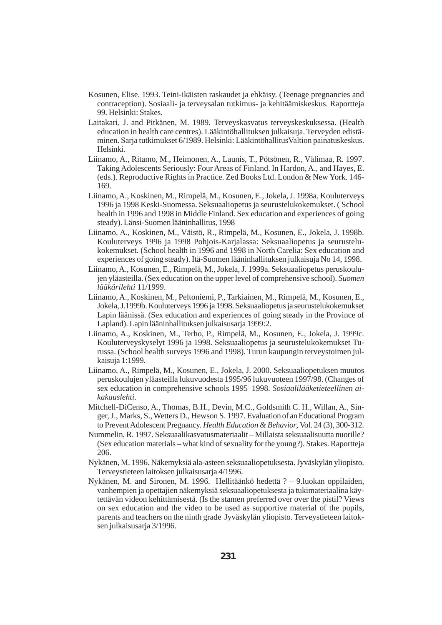- Kosunen, Elise. 1993. Teini-ikäisten raskaudet ja ehkäisy. (Teenage pregnancies and contraception). Sosiaali- ja terveysalan tutkimus- ja kehitäämiskeskus. Raportteja 99. Helsinki: Stakes.
- Laitakari, J. and Pitkänen, M. 1989. Terveyskasvatus terveyskeskuksessa. (Health education in health care centres). Lääkintöhallituksen julkaisuja. Terveyden edistäminen. Sarja tutkimukset 6/1989. Helsinki: LääkintöhallitusValtion painatuskeskus. Helsinki.
- Liinamo, A., Ritamo, M., Heimonen, A., Launis, T., Pötsönen, R., Välimaa, R. 1997. Taking Adolescents Seriously: Four Areas of Finland. In Hardon, A., and Hayes, E. (eds.). Reproductive Rights in Practice. Zed Books Ltd. London & New York. 146- 169.
- Liinamo, A., Koskinen, M., Rimpelä, M., Kosunen, E., Jokela, J. 1998a. Kouluterveys 1996 ja 1998 Keski-Suomessa. Seksuaaliopetus ja seurustelukokemukset. ( School health in 1996 and 1998 in Middle Finland. Sex education and experiences of going steady). Länsi-Suomen lääninhallitus, 1998
- Liinamo, A., Koskinen, M., Väistö, R., Rimpelä, M., Kosunen, E., Jokela, J. 1998b. Kouluterveys 1996 ja 1998 Pohjois-Karjalassa: Seksuaaliopetus ja seurustelukokemukset. (School health in 1996 and 1998 in North Carelia: Sex education and experiences of going steady). Itä-Suomen lääninhallituksen julkaisuja No 14, 1998.
- Liinamo, A., Kosunen, E., Rimpelä, M., Jokela, J. 1999a. Seksuaaliopetus peruskoulujen yläasteilla. (Sex education on the upper level of comprehensive school). *Suomen lääkärilehti* 11/1999.
- Liinamo, A., Koskinen, M., Peltoniemi, P., Tarkiainen, M., Rimpelä, M., Kosunen, E., Jokela, J.1999b. Kouluterveys 1996 ja 1998. Seksuaaliopetus ja seurustelukokemukset Lapin läänissä. (Sex education and experiences of going steady in the Province of Lapland). Lapin lääninhallituksen julkaisusarja 1999:2.
- Liinamo, A., Koskinen, M., Terho, P., Rimpelä, M., Kosunen, E., Jokela, J. 1999c. Kouluterveyskyselyt 1996 ja 1998. Seksuaaliopetus ja seurustelukokemukset Turussa. (School health surveys 1996 and 1998). Turun kaupungin terveystoimen julkaisuja 1:1999.
- Liinamo, A., Rimpelä, M., Kosunen, E., Jokela, J. 2000. Seksuaaliopetuksen muutos peruskoulujen yläasteilla lukuvuodesta 1995/96 lukuvuoteen 1997/98. (Changes of sex education in comprehensive schools 1995–1998. *Sosiaalilääketieteellinen aikakauslehti*.
- Mitchell-DiCenso, A., Thomas, B.H., Devin, M.C., Goldsmith C. H., Willan, A., Singer, J., Marks, S., Wetters D., Hewson S. 1997. Evaluation of an Educational Program to Prevent Adolescent Pregnancy. *Health Education & Behavior*, Vol. 24 (3), 300-312.
- Nummelin, R. 1997. Seksuaalikasvatusmateriaalit Millaista seksuaalisuutta nuorille? (Sex education materials – what kind of sexuality for the young?). Stakes. Raportteja 206.
- Nykänen, M. 1996. Näkemyksiä ala-asteen seksuaaliopetuksesta. Jyväskylän yliopisto. Terveystieteen laitoksen julkaisusarja 4/1996.
- Nykänen, M. and Sironen, M. 1996. Hellitäänkö hedettä ? 9.luokan oppilaiden, vanhempien ja opettajien näkemyksiä seksuaaliopetuksesta ja tukimateriaalina käytettävän videon kehittämisestä. (Is the stamen preferred over over the pistil? Views on sex education and the video to be used as supportive material of the pupils, parents and teachers on the ninth grade Jyväskylän yliopisto. Terveystieteen laitoksen julkaisusarja 3/1996.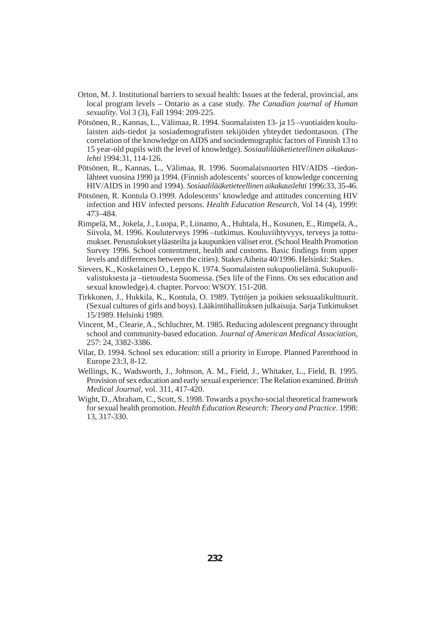- Orton, M. J. Institutional barriers to sexual health: Issues at the federal, provincial, ans local program levels – Ontario as a case study. *The Canadian journal of Human sexuality*. Vol 3 (3), Fall 1994: 209-225.
- Pötsönen, R., Kannas, L., Välimaa, R. 1994. Suomalaisten 13- ja 15 –vuotiaiden koululaisten aids-tiedot ja sosiademografisten tekijöiden yhteydet tiedontasoon. (The correlation of the knowledge on AIDS and sociodemographic factors of Finnish 13 to 15 year-old pupils with the level of knowledge). *Sosiaalilääketieteellinen aikakauslehti* 1994:31, 114-126.
- Pötsönen, R., Kannas, L., Välimaa, R. 1996. Suomalaisnuorten HIV/AIDS –tiedonlähteet vuosina 1990 ja 1994. (Finnish adolescents' sources of knowledge concerning HIV/AIDS in 1990 and 1994). *Sosiaalilääketieteellinen aikakauslehti* 1996:33, 35-46.
- Pötsönen, R. Kontula O.1999. Adolescents' knowledge and attitudes concerning HIV infection and HIV infected persons. *Health Education Research*, Vol 14 (4), 1999: 473–484.
- Rimpelä, M., Jokela, J., Luopa, P., Liinamo, A., Huhtala, H., Kosunen, E., Rimpelä, A., Siivola, M. 1996. Kouluterveys 1996 –tutkimus. Kouluviihtyvyys, terveys ja tottumukset. Perustulokset yläasteilta ja kaupunkien väliset erot. (School Health Promotion Survey 1996. School contentment, health and customs. Basic findings from upper levels and differences between the cities). Stakes Aiheita 40/1996. Helsinki: Stakes.
- Sievers, K., Koskelainen O., Leppo K. 1974. Suomalaisten sukupuolielämä. Sukupuolivalistuksesta ja –tietoudesta Suomessa. (Sex life of the Finns. On sex education and sexual knowledge).4. chapter. Porvoo: WSOY. 151-208.
- Tirkkonen, J., Hukkila, K., Kontula, O. 1989. Tyttöjen ja poikien seksuaalikulttuurit. (Sexual cultures of girls and boys). Lääkintöhallituksen julkaisuja. Sarja Tutkimukset 15/1989. Helsinki 1989.
- Vincent, M., Clearie, A., Schluchter, M. 1985. Reducing adolescent pregnancy throught school and community-based education. *Journal of American Medical Association*, 257: 24, 3382-3386.
- Vilar, D. 1994. School sex education: still a priority in Europe. Planned Parenthood in Europe 23:3, 8-12.
- Wellings, K., Wadsworth, J., Johnson, A. M., Field, J., Whitaker, L., Field, B. 1995. Provision of sex education and early sexual experience: The Relation examined. *British Medical Journal*, vol. 311, 417-420.
- Wight, D., Abraham, C., Scott, S. 1998. Towards a psycho-social theoretical framework for sexual health promotion. *Health Education Research: Theory and Practice*. 1998: 13, 317-330.